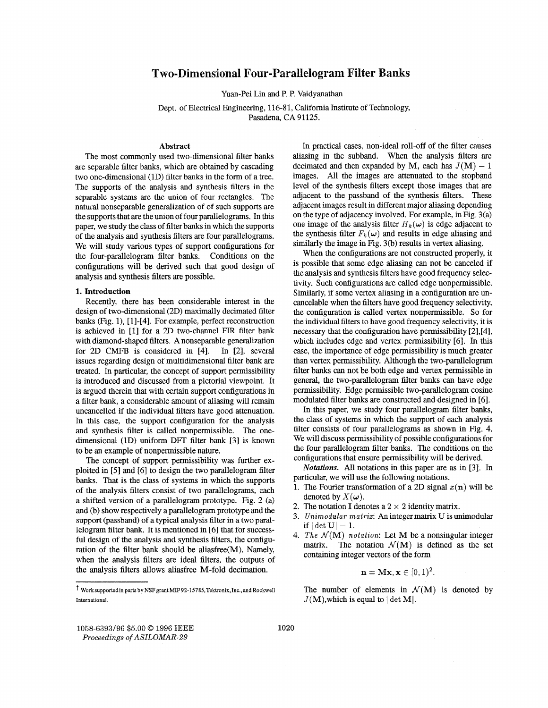# **imensional Four-Parallelogram Filter Banks**

Yuan-Pei Lin and P. P. Vaidyanathan

Dept. of Electrical Engineering, 116-81, California Institute of Technology, Pasadena **CA** 91125.

#### **Abstract**

The most commonly used two-dimensional filter banks are separable filter banks, which are obtained by cascading two one-dimensional (1D) filter banks in the form of a tree. The supports of the analysis and synthesis filters in the separable systems are the union of four rectangles. The natural nonseparable generalization of of such supports are the supports that are the union of four parallelograms. In this paper, we study the class of filter banks in which the supports of the analysis and synthesis filters are four parallelograms. We will study various types of support configurations for the four-parallelogram filter banks. Conditions on the configurations will be derived such that good design of analysis and synthesis filters are possible.

## **1. Introduction**

Recently, there has been considerable interest in the design of two-dimensional (2D) maximally decimated filter banks (Fig. l), [1]-[4]. For example, perfect reconstruction is achieved in [l] for a 2D two-channel FIR filter bank with diamond-shaped filters. **A** nonseparable generalization for 2D CNIFB is considered in [4]. In [2], several issues regarding design of multidimensional filter bank are treated. In particular, the concept of support permissibility is introduced and discussed from a pictorial viewpoint. It is argued therein that with certain support configurations in a filter bank, a considerable amount of aliasing will remain uncancelled if the individual filters have good attenuation. In this case, the support configuration for the analysis and synthesis filter is called nonpermissible. The onedimensional (1D) uniform DFT filter bank [3] is known to be an example of nonpermissible nature.

The concept of support permissibility was further exploited in [SI and *[6]* to design the two parallelogram filter banks. That is the class of systems in which the supports of the analysis filters consist of two parallelograms, each a shifted version of a parallelogram prototype. Fig. 2 (a) and (b) show respectively a parallelogram prototype and the support (passband) of a typical analysis filter in a two parallelogram filter bank. It is mentioned in [6] that for successful design of the analysis and synthesis filters, the configuration of the filter bank should be aliasfree(M). Namely, when the analysis filters are ideal filters, the outputs of the analysis filters allows aliasfree M-fold decimation.

In practical cases, non-ideal roll-off of the filter causes aliasing in the subband. When the analysis filters are decimated and then expanded by M, each has  $J(M) - 1$ images. All the images are attenuated to the stopband level of the synthesis filters except those images that are adjacent to the passband of the synthesis filters. These adjacent images result in different major aliasing depending on the type of adjacency involved. For example, in Fig. 3(a) one image of the analysis filter  $H_k(\omega)$  is edge adjacent to the synthesis filter  $F_k(\omega)$  and results in edge aliasing and similarly the image in Fig. 3(b) results in vertex aliasing.

When the configurations are not constructed properly, it is possible that some edge aliasing can not be canceled if the analysis and synthesis filters have good frequency selectivity. Such configurations are called edge nonpermissible. Similarly, if some vertex aliasing in a configuration are uncancelable when the filters have good frequency selectivity, the configuration is called vertex nonpermissible. So for the individual filters to have good frequency selectivity, it is necessary that the configuration have permissibility [2],[4], which includes edge and vertex permissibility [6]. In this case, the importance of edge permissibility is much greater than vertex permissibility. Although the two-parallelogram filter banks can not be both edge and vertex permissible in general, the two-parallelogram filter banks can have edge permissibility. Edge permissible two-parallelogram cosine modulated filter banks are constructed and designed in [6].

In this paper, we study four parallelogram filter banks, the class of systems in which the support of each analysis filter consists of four parallelograms **as** shown in [Fig.](#page-3-0) **4.**  We will discuss permissibility of possible configurations for the four parallelogram filter banks. The conditions on the configurations that ensure permissibility will be derived.

*Notations.* All notations in this paper are **as** in *[3].* In particular, we will use the following notations.

- 1. The Fourier transformation of a 2D signal  $x(n)$  will be denoted by  $X(\omega)$ .
- **2.** The notation **I** denotes a  $2 \times 2$  identity matrix.
- **3.** *Unzmodular matrix: An* integermatrix **U is** unimodular if  $|\det U| = 1$ .
- 4. *The*  $\mathcal{N}(\mathbf{M})$  *notation*: Let **M** be a nonsingular integer matrix. The notation  $\mathcal{N}(\mathbf{M})$  is defined as the set containing integer vectors of the form

$$
\mathbf{n} = \mathbf{M}\mathbf{x}, \mathbf{x} \in [0,1)^2.
$$

The number of elements in  $\mathcal{N}(\mathbf{M})$  is denoted by  $J(M)$ , which is equal to  $|\det M|$ .

Worksupportedin parts by **NSF** grant MIP **92-15785,Tektronix,Inc.,** and Rockwell **International** 

<sup>1058-6393/96 \$5.00</sup> *0* 1996 IEEE *Proceedings of ASILOMAR-29*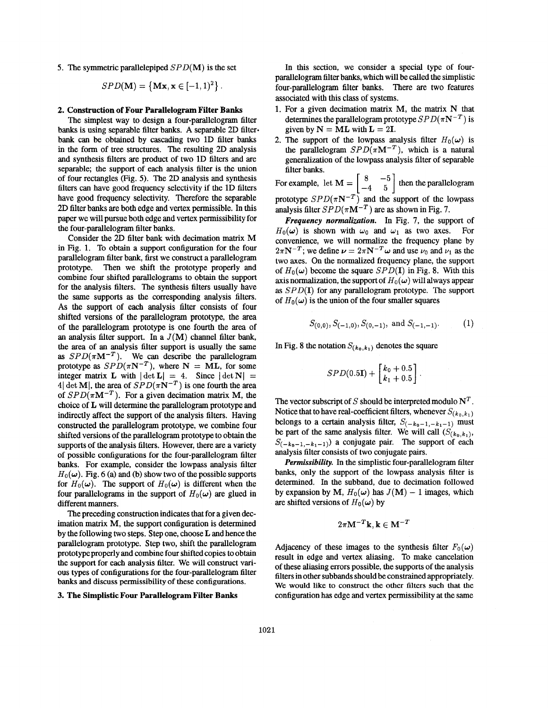5. The symmetric parallelepiped  $SPD(M)$  is the set

$$
SPD(\mathbf{M}) = \{ \mathbf{Mx}, \mathbf{x} \in [-1,1)^2 \}.
$$

#### **2. Construction of Four Parallelogram Filter Banks**

The simplest way to design a four-parallelogram filter banks is using separable filter banks. A separable 2D filterbank can be obtained by cascading two 1D filter banks in the form of **tree** structures. The resulting 2D analysis and synthesis filters are product of two 1D filters and are separable; the support of each analysis filter is the union of four rectangles (Fig. *5).* The 2D analysis and synthesis filters *can* have good frequency selectivity if the 1D filters have good frequency selectivity. Therefore the separable 2D filter banks are both edge and vertex permissible. In this paper we will pursue both edge and vertex permissibility for the four-parallelogram filter banks.

Consider the 2D filter bank with decimation matrix M in [Fig. 1.](#page-2-0) To obtain a support configuration for the four parallelogram filter bank, first we construct a parallelogram prototype. Then we shift the prototype properly and combine four shifted parallelograms to obtain the support for the analysis filters. The synthesis filters usually have the same supports **as** the corresponding analysis filters. As the support of each analysis filter consists of four shifted versions of the parallelogram prototype, the area of the parallelogram prototype is one fourth the area of an analysis filter support. In a  $J(M)$  channel filter bank, the area of an analysis filter support is usually the same as  $SPD(\pi M^{-T})$ . We can describe the parallelogram prototype as  $SPD(\pi N^{-T})$ , where N = ML, for some integer matrix **L** with  $|\det L| = 4$ . Since  $|\det N|$ 4  $\det M$ , the area of  $SPD(\pi N^{-T})$  is one fourth the area of  $SPD(\pi M^{-T})$ . For a given decimation matrix M, the choice of **L** will determine the parallelogram prototype and indirectly affect the support of the analysis filters. Having constructed the parallelogram prototype, we combine four shifted versions of the parallelogram prototype to obtain the supports of the analysis filters. However, there are a variety of possible configurations for the four-parallelogram filter banks. For example, consider the lowpass analysis filter  $H_0(\omega)$ . [Fig. 6](#page-4-0) (a) and (b) show two of the possible supports for  $H_0(\omega)$ . The support of  $H_0(\omega)$  is different when the four parallelograms in the support of  $H_0(\omega)$  are glued in different manners.

The preceding construction indicates that for a given decimation matrix M, the support configuration is determined by the following two steps. Step one, choose L and hence the parallelogram prototype. Step two, shift the parallelogram prototype properly and combine four shifted copies to obtain the support for each analysis filter. We will construct various types of configurations for the four-parallelogram filter banks and discuss permissibility of these configurations.

### **3. The Simplistic Four Parallelogram Filter Banks**

In this section, we consider a special type of fourparallelogram filter banks, which will be called the simplistic four-parallelogram filter banks. There are two features associated with this class of systems.

- 1. For a given decimation matrix M, the matrix N that determines the parallelogram prototype  $SPD(\pi N^{-T})$  is given by  $N = ML$  with  $L = 2I$ .
- 2. The support of the lowpass analysis filter  $H_0(\omega)$  is the parallelogram  $SPD(\pi M^{-T})$ , which is a natural generalization of the lowpass analysis filter of separable filter banks.

filter banks.<br>For example, let  $M = \begin{bmatrix} 8 & -5 \\ -4 & 5 \end{bmatrix}$  then the parallelogram prototype  $SPD(\pi N^{-T})$  and the support of the lowpass analysis filter  $SPD(\pi M^{-T})$  are as shown in Fig. 7.

Frequency *normulizufion.* In Fig. 7, the support of  $H_0(\omega)$  is shown with  $\omega_0$  and  $\omega_1$  as two axes. For convenience, we will normalize the frequency plane by  $2\pi N^{-T}$ ; we define  $\nu = 2\pi N^{-T}\omega$  and use  $\nu_0$  and  $\nu_1$  as the two axes. On the normalized frequency plane, the support of  $H_0(\omega)$  become the square  $SPD(\mathbf{I})$  in [Fig. 8.](#page-4-0) With this axis normalization, the support of  $H_0(\omega)$  will always appear **as** SPD(1) for any parallelogram prototype. The support of  $H_0(\omega)$  is the union of the four smaller squares

$$
S_{(0,0)}, S_{(-1,0)}, S_{(0,-1)}, \text{ and } S_{(-1,-1)}.
$$
 (1)

In [Fig. 8](#page-4-0) the notation  $S_{(k_0,k_1)}$  denotes the square

$$
SPD(0.5I) + \begin{bmatrix} k_0 + 0.5 \\ k_1 + 0.5 \end{bmatrix}.
$$

The vector subscript of S should be interpreted modulo  $N<sup>T</sup>$ . Notice that to have real-coefficient filters, whenever  $S_{(k_0,k_1)}$ belongs to a certain analysis filter,  $S_{(-k_0-1,-k_1-1)}$  must be part of the same analysis filter. We will call  $(S_{(k_0,k_1)},$  $S_{(-k_0-1,-k_1-1)})$  a conjugate pair. The support of each analysis filter consists of two conjugate pairs.

*Permissibility.* In the simplistic four-parallelogram filter banks, only the support of the lowpass analysis filter is determined. In the subband, due to decimation followed by expansion by M,  $H_0(\omega)$  has  $J(M) - 1$  images, which are shifted versions of  $H_0(\omega)$  by

$$
2\pi \mathbf{M}^{-T}\mathbf{k}, \mathbf{k} \in \mathbf{M}^{-T}
$$

Adjacency of these images to the synthesis filter  $F_0(\omega)$ result in edge and vertex aliasing. To make cancelation of these aliasing errors possible, the supports of the analysis filters in other subbands should be constrained appropriately. We would like to construct the other filters such that the configuration has edge and vertex permissibility at the same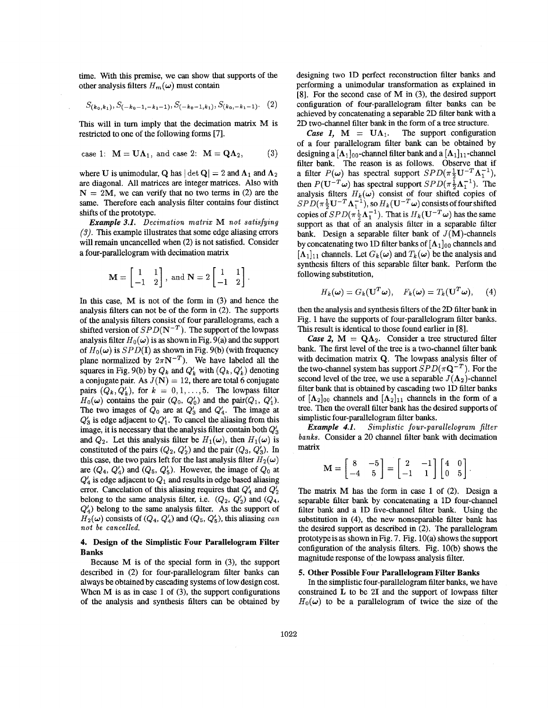<span id="page-2-0"></span>time. With this premise, we can show that supports of the other analysis filters  $H_m(\omega)$  must contain

$$
S_{(k_0,k_1)}, S_{(-k_0-1,-k_1-1)}, S_{(-k_0-1,k_1)}, S_{(k_0,-k_1-1)}.\tag{2}
$$

This will in turn imply that the decimation matrix M is restricted to one of the following forms [7].

case 1: 
$$
M = U\Lambda_1
$$
, and case 2:  $M = Q\Lambda_2$ , (3)

where U is unimodular, **Q** has  $|\det Q| = 2$  and  $\Lambda_1$  and  $\Lambda_2$ are diagonal. All matrices are integer matrices. Also with  $N = 2M$ , we can verify that no two terms in (2) are the same. Therefore each analysis filter contains four distinct shifts of the prototype.

*Example 3.1. Decimation matrix* M *not satisfying*  **(3).** This example illustrates that some edge aliasing errors will remain uncancelled when **(2)** is not satisfied. Consider a four-parallelogram with decimation matrix

$$
\mathbf{M} = \begin{bmatrix} 1 & 1 \\ -1 & 2 \end{bmatrix}, \text{ and } \mathbf{N} = 2 \begin{bmatrix} 1 & 1 \\ -1 & 2 \end{bmatrix}
$$

In this case, M is not of the form in (3) and hence the analysis filters can not be of the form in (2). The supports of the analysis filters consist of four parallelograms, each a shifted version of  $SPD(N^{-T})$ . The support of the lowpass analysis filter  $H_0(\omega)$  is as shown in Fig. 9(a) and the support of  $H_0(\omega)$  is *SPD*(I) as shown in Fig. 9(b) (with frequency plane normalized by  $2\pi N^{-T}$ ). We have labeled all the squares in Fig. 9(b) by  $Q_k$  and  $Q'_k$  with  $(Q_k, Q'_k)$  denoting a conjugate pair. As  $J(N) = 12$ , there are total 6 conjugate pairs  $(Q_k, Q'_k)$ , for  $k = 0, 1, \ldots, 5$ . The lowpass filter  $H_0(\omega)$  contains the pair  $(Q_0, Q'_0)$  and the pair $(Q_1, Q'_1)$ . The two images of  $Q_0$  are at  $Q'_3$  and  $Q'_4$ . The image at  $Q'_3$  is edge adjacent to  $Q'_1$ . To cancel the aliasing from this image, it is necessary that the analysis filter contain both  $Q'_3$ and  $Q_2$ . Let this analysis filter be  $H_1(\omega)$ , then  $H_1(\omega)$  is constituted of the pairs  $(Q_2, Q'_2)$  and the pair  $(Q_3, Q'_3)$ . In this case, the two pairs left for the last analysis filter  $H_2(\omega)$ are  $(Q_4, Q'_4)$  and  $(Q_5, Q'_5)$ . However, the image of  $Q_0$  at  $Q'_4$  is edge adjacent to  $Q_1$  and results in edge based aliasing error. Cancelation of this aliasing requires that  $Q'_4$  and  $Q'_2$ belong to the same analysis filter, i.e.  $(Q_2, Q'_2)$  and  $(Q_4,$  $Q'_4$ ) belong to the same analysis filter. As the support of  $H_2(\omega)$  consists of  $(Q_4, Q'_4)$  and  $(Q_5, Q'_5)$ , this aliasing *can not be cancelled.* 

## **4. Design of the Simplistic Four Parallelogram Filter Banks**

Because M is of the special form in (3), the support described in (2) for four-parallelogram filter banks *can*  always be obtained by cascading systems of low design cost. When M is **as** in case 1 of **(3),** the support configurations of the analysis and synthesis filters can be obtained by designing two 1D perfect reconstruction filter banks and perfoming a unimodular transformation **as** explained in **[8].** For the second case of M in (3), the desired support configuration of four-parallelogram filter banks can be achieved by concatenating a separable 2D filter bank with a 2D two-channel filter bank in the form of a tree structure.

*Case 1,*  $M = UA_1$ . The support configuration of a four parallelogram filter bank *can* be obtained by designing a  $[A_1]_{00}$ -channel filter bank and a  $[A_1]_{11}$ -channel filter bank. The reason is **as** follows. Observe that if a filter  $P(\omega)$  has spectral support  $SPD(\pi \frac{1}{2} \mathbf{U}^{-T} \mathbf{\Lambda}_1^{-1}),$ then  $P(\mathbf{U}^{-T}\boldsymbol{\omega})$  has spectral support  $SPD(\pi\frac{1}{2}\boldsymbol{\Lambda}_{1}^{-1})$ . The analysis filters  $H_k(\omega)$  consist of four shifted copies of  $SPD(\pi \frac{1}{2} \mathbf{U}^{-T} \mathbf{\Lambda}_1^{-1}),$  so  $H_k(\mathbf{U}^{-T}\boldsymbol{\omega})$  consists of four shifted copies of  $SPD(\pi^{\frac{1}{2}}\Lambda_1^{-1})$ . That is  $H_k(\mathbf{U}^{-T}\boldsymbol{\omega})$  has the same support **as** that of an analysis filter in a separable filter bank. Design a separable filter bank of  $J(M)$ -channels by concatenating two 1D filter banks of  $[A_1]_{00}$  channels and  $[\Lambda_1]_{11}$  channels. Let  $G_k(\omega)$  and  $T_k(\omega)$  be the analysis and synthesis filters of this separable filter bank. Perform the following substitution,

$$
H_k(\boldsymbol{\omega}) = G_k(\mathbf{U}^T \boldsymbol{\omega}), \quad F_k(\boldsymbol{\omega}) = T_k(\mathbf{U}^T \boldsymbol{\omega}), \quad (4)
$$

then the analysis and synthesis filters of the 2D filter bank in Fig. 1 have the supports of four-parallelogram filter banks. This result is identical to those found earlier in **[8].** 

*Case 2,*  $M = QA_2$ . Consider a tree structured filter bank. The first level of the tree is a two-channel filter bank with decimation matrix Q. The lowpass analysis filter of the two-channel system has support  $SPD(\pi \mathbf{Q}^{-T})$ . For the second level of the tree, we use a separable  $J(\Lambda_2)$ -channel filter bank that is obtained by cascading two 1D filter banks of  $[A_2]_{00}$  channels and  $[A_2]_{11}$  channels in the form of a tree. Then the overall filter bank has the desired supports of simplistic four-parallelogram filter banks.

*Example 4.1. Simplistic four-parallelogram filter banks.* Consider a 20 channel filter bank with decimation matrix

$$
\mathbf{M} = \begin{bmatrix} 8 & -5 \\ -4 & 5 \end{bmatrix} = \begin{bmatrix} 2 & -1 \\ -1 & 1 \end{bmatrix} \begin{bmatrix} 4 & 0 \\ 0 & 5 \end{bmatrix}.
$$

The **matrix** M has the form in case 1 of (2). Design a separable filter bank by concatenating a 1D four-channel filter bank and **a** 1D five-channel filter bank. Using the substitution in (4), the new nonseparable filter bank has the desired support **as** described in (2). The parallelogram prototypeis **as** shown inFig. 7. Fig. 1O(a) shows the support configuration of the analysis filters. Fig. 10(b) shows the magnitude response of the lowpass analysis filter.

### **5. Other Possible Four Parallelogram Filter Banks**

In the simplistic four-parallelogram filter banks, we have constrained **L** to be **21** and the support of lowpass filter  $H_0(\omega)$  to be a parallelogram of twice the size of the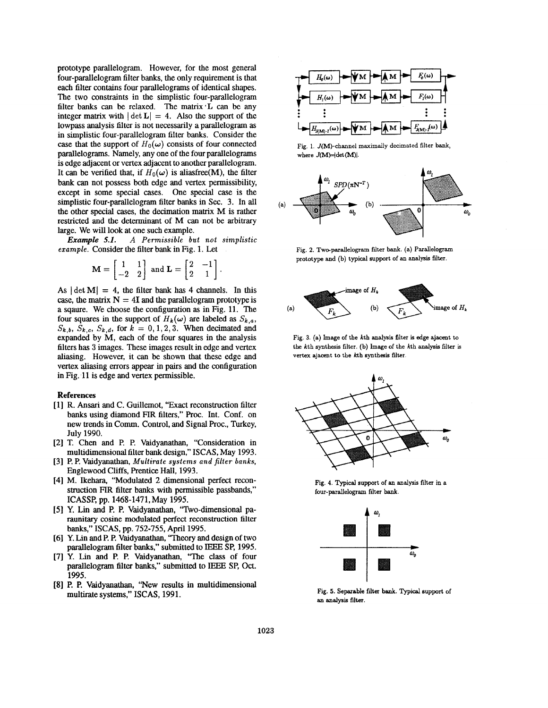<span id="page-3-0"></span>prototype parallelogram. However, for the most general four-parallelogram filter banks, the only requirement is that each filter contains four parallelograms of identical shapes. The two constraints in the simplistic four-parallelogram filter banks *can* be relaxed. The matrix'L *can* be any integer matrix with  $|\det L| = 4$ . Also the support of the **lowpass** analysis filter is not necessarily a parallelogram **as**  in simplistic four-parallelogram filter banks. Consider the case that the support of  $H_0(\omega)$  consists of four connected parallelograms. Namely, any one of the four parallelograms is edge adjacent or vertex adjacent to another parallelogram. It can be verified that, if  $H_0(\omega)$  is aliasfree(M), the filter bank *can* not possess both edge and vertex permissibility, except in some special cases. One special case is the simplistic four-parallelogram filter banks in Sec. **3.** In all the other special cases, the decimation matrix M is rather restricted and the determinant of M *can* not be arbitrary large. We will look at one such example.

*Example 5.1. A Permissible but not simplistic* 

*example.* Consider the filter bank in Fig. 1. Let  
\n
$$
\mathbf{M} = \begin{bmatrix} 1 & 1 \\ -2 & 2 \end{bmatrix} \text{ and } \mathbf{L} = \begin{bmatrix} 2 & -1 \\ 2 & 1 \end{bmatrix}
$$

As  $|\det M| = 4$ , the filter bank has 4 channels. In this case, the matrix  $N = 4I$  and the parallelogram prototype is a sqaure. We choose the configuration **as** in [Fig.](#page-4-0) **11.** The four squares in the support of  $H_k(\omega)$  are labeled as  $S_{k,a}$ ,  $S_{k,b}$ ,  $S_{k,c}$ ,  $S_{k,d}$ , for  $k = 0,1,2,3$ . When decimated and expanded by M, each of the four squares in the analysis filters has 3 images. These images result in edge and vertex aliasing. However, it *can* be shown that these edge and vertex aliasing errors appear in pairs and the configuration in Fig. 11 is edge and vertex permissible.

## **References**

- **[l]** R. **Ansari** and C. Guillemot, "Exact reconstruction filter banks using diamond **FIR** filters," Proc. Int. Conf. on new trends in Comm. Control, and Signal Proc., Turkey, July **1990.**
- [2] T. Chen and P. P. Vaidyanathan, "Consideration in multidimensional filter bank design," ISCAS, May **1993.**
- [3] P. P. Vaidyanathan, *Multirate systems and filter banks,*  Englewood Cliffs, Prentice Hall, **1993.**
- [4] M. Ikehara, "Modulated 2 dimensional perfect reconstruction **FIR** filter banks with permissible passbands," **ICASSP,** pp. **1468-1471,** May 1995.
- [5] Y. Lin and P. **P.** Vaidyanathan, "Two-dimensional paraunitary cosine modulated perfect reconstruction filter banks," ISCAS, pp. 752-755, April **1995.**
- **[6]** Y. Lin and P. P. Vaidyanathan, **"Theory** and design of two parallelogram filter banks," submitted to IEEE **SP, 1995.**
- [7] **Y.** Lin and P. P. Vaidyanathan, "The class of four parallelogram filter banks," submitted to IEEE SP, Oct. **1995.**
- [8] **P. P.** Vaidyanathan, "New results in multidimensional multirate systems," ISCAS, **1991.**



**[Fig.](#page-2-0) 1. J(M)-channel maximally decimated filter bank,**  where  $J(M) = \det(M)$ .



**Fig. 2. Two-parallelogram filter bank. (a) Parallelogram prototype and (b) typical support of an** analysis **filter.** 



**Fig. 3. (a) Image of the kth** analysis **filter is edge ajacent to the kth synthesis filter. (b) Image of the kth** analysis **filter is vertex ajacent to the kth synthesis filter.** 



**Fig. 4. Typical support of an analysis filter in a four-parallelogram filter** bank.



**Fig. 5. Separable filter bank. Typical support of an analysis filter.**